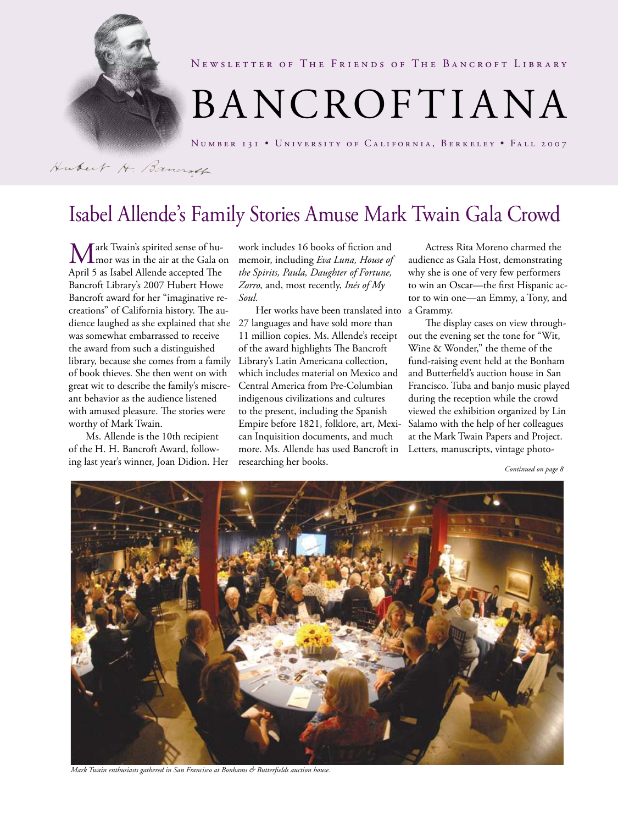

NEWSLETTER OF THE FRIENDS OF THE BANCROFT LIBRARY

# BANCROFTIANA

Number 131 • University of California, Berkeley • Fall 2007

Hubert H. Bancroth

# Isabel Allende's Family Stories Amuse Mark Twain Gala Crowd

Mark Twain's spirited sense of hu-<br>mor was in the air at the Gala on April 5 as Isabel Allende accepted The Bancroft Library's 2007 Hubert Howe Bancroft award for her "imaginative recreations" of California history. The audience laughed as she explained that she 27 languages and have sold more than was somewhat embarrassed to receive the award from such a distinguished library, because she comes from a family of book thieves. She then went on with great wit to describe the family's miscreant behavior as the audience listened with amused pleasure. The stories were worthy of Mark Twain.

Ms. Allende is the 10th recipient of the H. H. Bancroft Award, following last year's winner, Joan Didion. Her work includes 16 books of fiction and memoir, including *Eva Luna, House of the Spirits, Paula, Daughter of Fortune, Zorro,* and, most recently, *Inés of My Soul.*

Her works have been translated into a Grammy. 11 million copies. Ms. Allende's receipt of the award highlights The Bancroft Library's Latin Americana collection, which includes material on Mexico and Central America from Pre-Columbian indigenous civilizations and cultures to the present, including the Spanish Empire before 1821, folklore, art, Mexican Inquisition documents, and much more. Ms. Allende has used Bancroft in researching her books.

Actress Rita Moreno charmed the audience as Gala Host, demonstrating why she is one of very few performers to win an Oscar—the first Hispanic actor to win one—an Emmy, a Tony, and

The display cases on view throughout the evening set the tone for "Wit, Wine & Wonder," the theme of the fund-raising event held at the Bonham and Butterfield's auction house in San Francisco. Tuba and banjo music played during the reception while the crowd viewed the exhibition organized by Lin Salamo with the help of her colleagues at the Mark Twain Papers and Project. Letters, manuscripts, vintage photo-

*Continued on page 8*



*Mark Twain enthusiasts gathered in San Francisco at Bonhams & Butterfields auction house.*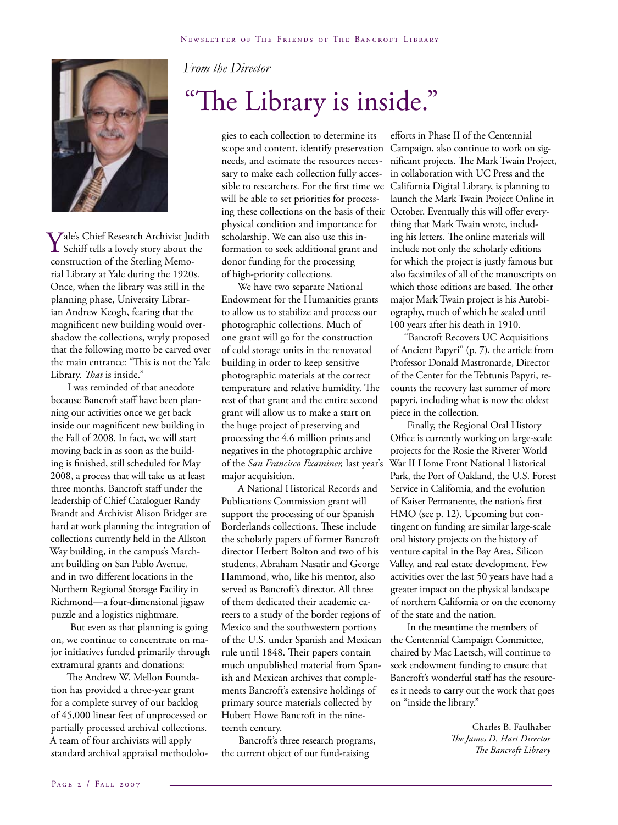

Yale's Chief Research Archivist Judith<br>Schiff tells a lovely story about the construction of the Sterling Memorial Library at Yale during the 1920s. Once, when the library was still in the planning phase, University Librarian Andrew Keogh, fearing that the magnificent new building would overshadow the collections, wryly proposed that the following motto be carved over the main entrance: "This is not the Yale Library. *That* is inside."

I was reminded of that anecdote because Bancroft staff have been planning our activities once we get back inside our magnificent new building in the Fall of 2008. In fact, we will start moving back in as soon as the building is finished, still scheduled for May 2008, a process that will take us at least three months. Bancroft staff under the leadership of Chief Cataloguer Randy Brandt and Archivist Alison Bridger are hard at work planning the integration of collections currently held in the Allston Way building, in the campus's Marchant building on San Pablo Avenue, and in two different locations in the Northern Regional Storage Facility in Richmond—a four-dimensional jigsaw puzzle and a logistics nightmare.

 But even as that planning is going on, we continue to concentrate on major initiatives funded primarily through extramural grants and donations:

The Andrew W. Mellon Foundation has provided a three-year grant for a complete survey of our backlog of 45,000 linear feet of unprocessed or partially processed archival collections. A team of four archivists will apply standard archival appraisal methodolo-

### *From the Director*

# "The Library is inside."

gies to each collection to determine its scope and content, identify preservation needs, and estimate the resources necessary to make each collection fully accessible to researchers. For the first time we will be able to set priorities for processing these collections on the basis of their October. Eventually this will offer everyphysical condition and importance for scholarship. We can also use this information to seek additional grant and donor funding for the processing of high-priority collections.

We have two separate National Endowment for the Humanities grants to allow us to stabilize and process our photographic collections. Much of one grant will go for the construction of cold storage units in the renovated building in order to keep sensitive photographic materials at the correct temperature and relative humidity. The rest of that grant and the entire second grant will allow us to make a start on the huge project of preserving and processing the 4.6 million prints and negatives in the photographic archive of the *San Francisco Examiner,* last year's major acquisition.

A National Historical Records and Publications Commission grant will support the processing of our Spanish Borderlands collections. These include the scholarly papers of former Bancroft director Herbert Bolton and two of his students, Abraham Nasatir and George Hammond, who, like his mentor, also served as Bancroft's director. All three of them dedicated their academic careers to a study of the border regions of Mexico and the southwestern portions of the U.S. under Spanish and Mexican rule until 1848. Their papers contain much unpublished material from Spanish and Mexican archives that complements Bancroft's extensive holdings of primary source materials collected by Hubert Howe Bancroft in the nineteenth century.

Bancroft's three research programs, the current object of our fund-raising

efforts in Phase II of the Centennial Campaign, also continue to work on significant projects. The Mark Twain Project, in collaboration with UC Press and the California Digital Library, is planning to launch the Mark Twain Project Online in thing that Mark Twain wrote, including his letters. The online materials will include not only the scholarly editions for which the project is justly famous but also facsimiles of all of the manuscripts on which those editions are based. The other major Mark Twain project is his Autobiography, much of which he sealed until 100 years after his death in 1910.

"Bancroft Recovers UC Acquisitions of Ancient Papyri" (p. 7), the article from Professor Donald Mastronarde, Director of the Center for the Tebtunis Papyri, recounts the recovery last summer of more papyri, including what is now the oldest piece in the collection.

Finally, the Regional Oral History Office is currently working on large-scale projects for the Rosie the Riveter World War II Home Front National Historical Park, the Port of Oakland, the U.S. Forest Service in California, and the evolution of Kaiser Permanente, the nation's first HMO (see p. 12). Upcoming but contingent on funding are similar large-scale oral history projects on the history of venture capital in the Bay Area, Silicon Valley, and real estate development. Few activities over the last 50 years have had a greater impact on the physical landscape of northern California or on the economy of the state and the nation.

In the meantime the members of the Centennial Campaign Committee, chaired by Mac Laetsch, will continue to seek endowment funding to ensure that Bancroft's wonderful staff has the resources it needs to carry out the work that goes on "inside the library."

> —Charles B. Faulhaber *The James D. Hart Director The Bancroft Library*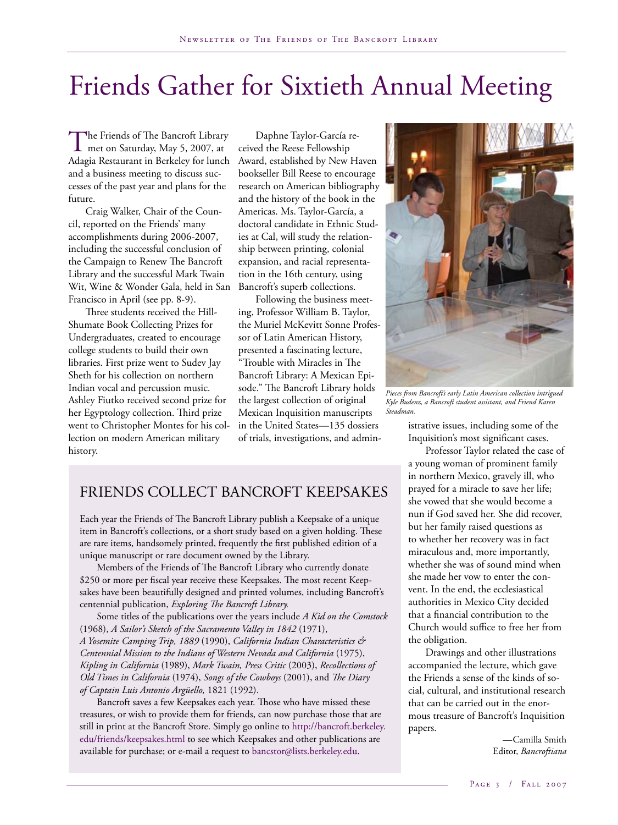# Friends Gather for Sixtieth Annual Meeting

The Friends of The Bancroft Library<br>
met on Saturday, May 5, 2007, at Adagia Restaurant in Berkeley for lunch and a business meeting to discuss successes of the past year and plans for the future.

Craig Walker, Chair of the Council, reported on the Friends' many accomplishments during 2006-2007, including the successful conclusion of the Campaign to Renew The Bancroft Library and the successful Mark Twain Wit, Wine & Wonder Gala, held in San Francisco in April (see pp. 8-9).

Three students received the Hill-Shumate Book Collecting Prizes for Undergraduates, created to encourage college students to build their own libraries. First prize went to Sudev Jay Sheth for his collection on northern Indian vocal and percussion music. Ashley Fiutko received second prize for her Egyptology collection. Third prize went to Christopher Montes for his collection on modern American military history.

Daphne Taylor-García received the Reese Fellowship Award, established by New Haven bookseller Bill Reese to encourage research on American bibliography and the history of the book in the Americas. Ms. Taylor-García, a doctoral candidate in Ethnic Studies at Cal, will study the relationship between printing, colonial expansion, and racial representation in the 16th century, using Bancroft's superb collections.

Following the business meeting, Professor William B. Taylor, the Muriel McKevitt Sonne Professor of Latin American History, presented a fascinating lecture, "Trouble with Miracles in The Bancroft Library: A Mexican Episode." The Bancroft Library holds the largest collection of original Mexican Inquisition manuscripts in the United States—135 dossiers of trials, investigations, and admin-



*Pieces from Bancroft's early Latin American collection intrigued Kyle Budenz, a Bancroft student assistant, and Friend Karen Steadman.* 

istrative issues, including some of the Inquisition's most significant cases.

Professor Taylor related the case of a young woman of prominent family in northern Mexico, gravely ill, who prayed for a miracle to save her life; she vowed that she would become a nun if God saved her. She did recover, but her family raised questions as to whether her recovery was in fact miraculous and, more importantly, whether she was of sound mind when she made her vow to enter the convent. In the end, the ecclesiastical authorities in Mexico City decided that a financial contribution to the Church would suffice to free her from the obligation.

Drawings and other illustrations accompanied the lecture, which gave the Friends a sense of the kinds of social, cultural, and institutional research that can be carried out in the enormous treasure of Bancroft's Inquisition papers.

> —Camilla Smith Editor, *Bancroftiana*

### FRIENDS COLLECT BANCROFT KEEPSAKES

Each year the Friends of The Bancroft Library publish a Keepsake of a unique item in Bancroft's collections, or a short study based on a given holding. These are rare items, handsomely printed, frequently the first published edition of a unique manuscript or rare document owned by the Library.

Members of the Friends of The Bancroft Library who currently donate \$250 or more per fiscal year receive these Keepsakes. The most recent Keepsakes have been beautifully designed and printed volumes, including Bancroft's centennial publication, *Exploring The Bancroft Library.*

Some titles of the publications over the years include *A Kid on the Comstock* (1968), *A Sailor's Sketch of the Sacramento Valley in 1842* (1971), *A Yosemite Camping Trip, 1889* (1990), *California Indian Characteristics & Centennial Mission to the Indians of Western Nevada and California* (1975), *Kipling in California* (1989), *Mark Twain, Press Critic* (2003), *Recollections of Old Times in California* (1974), *Songs of the Cowboys* (2001), and *The Diary of Captain Luis Antonio Argüello,* 1821 (1992).

Bancroft saves a few Keepsakes each year. Those who have missed these treasures, or wish to provide them for friends, can now purchase those that are still in print at the Bancroft Store. Simply go online to http://bancroft.berkeley. edu/friends/keepsakes.html to see which Keepsakes and other publications are available for purchase; or e-mail a request to bancstor@lists.berkeley.edu.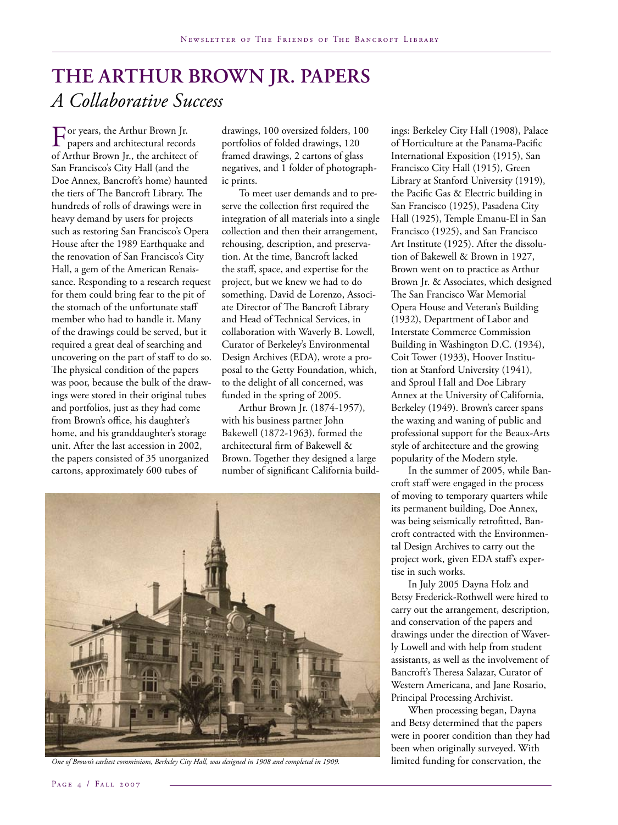## **The Arthur Brown Jr. Papers** *A Collaborative Success*

For years, the Arthur Brown Jr. papers and architectural records of Arthur Brown Jr., the architect of San Francisco's City Hall (and the Doe Annex, Bancroft's home) haunted the tiers of The Bancroft Library. The hundreds of rolls of drawings were in heavy demand by users for projects such as restoring San Francisco's Opera House after the 1989 Earthquake and the renovation of San Francisco's City Hall, a gem of the American Renaissance. Responding to a research request for them could bring fear to the pit of the stomach of the unfortunate staff member who had to handle it. Many of the drawings could be served, but it required a great deal of searching and uncovering on the part of staff to do so. The physical condition of the papers was poor, because the bulk of the drawings were stored in their original tubes and portfolios, just as they had come from Brown's office, his daughter's home, and his granddaughter's storage unit. After the last accession in 2002, the papers consisted of 35 unorganized cartons, approximately 600 tubes of

drawings, 100 oversized folders, 100 portfolios of folded drawings, 120 framed drawings, 2 cartons of glass negatives, and 1 folder of photographic prints.

To meet user demands and to preserve the collection first required the integration of all materials into a single collection and then their arrangement, rehousing, description, and preservation. At the time, Bancroft lacked the staff, space, and expertise for the project, but we knew we had to do something. David de Lorenzo, Associate Director of The Bancroft Library and Head of Technical Services, in collaboration with Waverly B. Lowell, Curator of Berkeley's Environmental Design Archives (EDA), wrote a proposal to the Getty Foundation, which, to the delight of all concerned, was funded in the spring of 2005.

Arthur Brown Jr. (1874-1957), with his business partner John Bakewell (1872-1963), formed the architectural firm of Bakewell & Brown. Together they designed a large number of significant California build-



*One of Brown's earliest commissions, Berkeley City Hall, was designed in 1908 and completed in 1909.*

ings: Berkeley City Hall (1908), Palace of Horticulture at the Panama-Pacific International Exposition (1915), San Francisco City Hall (1915), Green Library at Stanford University (1919), the Pacific Gas & Electric building in San Francisco (1925), Pasadena City Hall (1925), Temple Emanu-El in San Francisco (1925), and San Francisco Art Institute (1925). After the dissolution of Bakewell & Brown in 1927, Brown went on to practice as Arthur Brown Jr. & Associates, which designed The San Francisco War Memorial Opera House and Veteran's Building (1932), Department of Labor and Interstate Commerce Commission Building in Washington D.C. (1934), Coit Tower (1933), Hoover Institution at Stanford University (1941), and Sproul Hall and Doe Library Annex at the University of California, Berkeley (1949). Brown's career spans the waxing and waning of public and professional support for the Beaux-Arts style of architecture and the growing popularity of the Modern style.

In the summer of 2005, while Bancroft staff were engaged in the process of moving to temporary quarters while its permanent building, Doe Annex, was being seismically retrofitted, Bancroft contracted with the Environmental Design Archives to carry out the project work, given EDA staff's expertise in such works.

In July 2005 Dayna Holz and Betsy Frederick-Rothwell were hired to carry out the arrangement, description, and conservation of the papers and drawings under the direction of Waverly Lowell and with help from student assistants, as well as the involvement of Bancroft's Theresa Salazar, Curator of Western Americana, and Jane Rosario, Principal Processing Archivist.

When processing began, Dayna and Betsy determined that the papers were in poorer condition than they had been when originally surveyed. With limited funding for conservation, the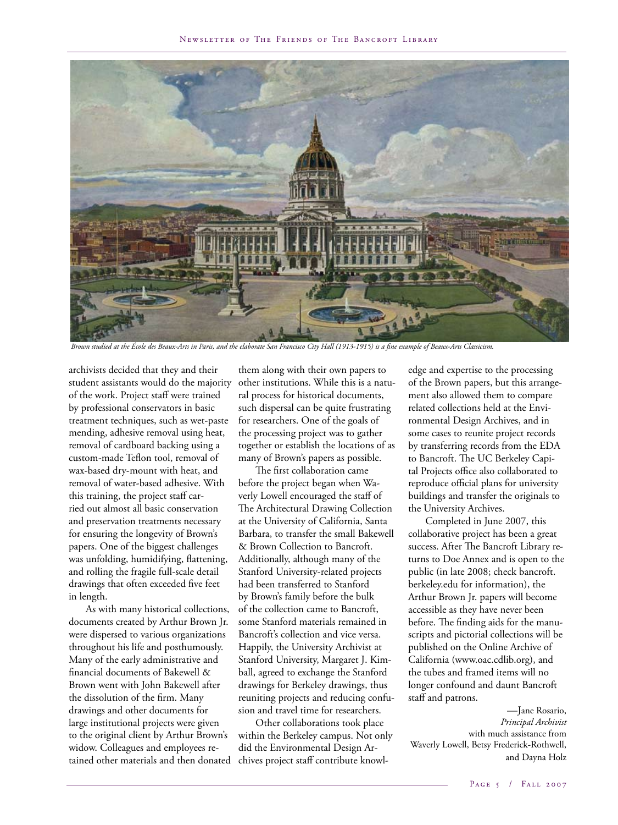

*Brown studied at the École des Beaux-Arts in Paris, and the elaborate San Francisco City Hall (1913-1915) is a fine example of Beaux-Arts Classicism.*

archivists decided that they and their student assistants would do the majority of the work. Project staff were trained by professional conservators in basic treatment techniques, such as wet-paste mending, adhesive removal using heat, removal of cardboard backing using a custom-made Teflon tool, removal of wax-based dry-mount with heat, and removal of water-based adhesive. With this training, the project staff carried out almost all basic conservation and preservation treatments necessary for ensuring the longevity of Brown's papers. One of the biggest challenges was unfolding, humidifying, flattening, and rolling the fragile full-scale detail drawings that often exceeded five feet in length.

As with many historical collections, documents created by Arthur Brown Jr. were dispersed to various organizations throughout his life and posthumously. Many of the early administrative and financial documents of Bakewell & Brown went with John Bakewell after the dissolution of the firm. Many drawings and other documents for large institutional projects were given to the original client by Arthur Brown's widow. Colleagues and employees retained other materials and then donated

them along with their own papers to other institutions. While this is a natural process for historical documents, such dispersal can be quite frustrating for researchers. One of the goals of the processing project was to gather together or establish the locations of as many of Brown's papers as possible.

The first collaboration came before the project began when Waverly Lowell encouraged the staff of The Architectural Drawing Collection at the University of California, Santa Barbara, to transfer the small Bakewell & Brown Collection to Bancroft. Additionally, although many of the Stanford University-related projects had been transferred to Stanford by Brown's family before the bulk of the collection came to Bancroft, some Stanford materials remained in Bancroft's collection and vice versa. Happily, the University Archivist at Stanford University, Margaret J. Kimball, agreed to exchange the Stanford drawings for Berkeley drawings, thus reuniting projects and reducing confusion and travel time for researchers.

Other collaborations took place within the Berkeley campus. Not only did the Environmental Design Archives project staff contribute knowledge and expertise to the processing of the Brown papers, but this arrangement also allowed them to compare related collections held at the Environmental Design Archives, and in some cases to reunite project records by transferring records from the EDA to Bancroft. The UC Berkeley Capital Projects office also collaborated to reproduce official plans for university buildings and transfer the originals to the University Archives.

Completed in June 2007, this collaborative project has been a great success. After The Bancroft Library returns to Doe Annex and is open to the public (in late 2008; check bancroft. berkeley.edu for information), the Arthur Brown Jr. papers will become accessible as they have never been before. The finding aids for the manuscripts and pictorial collections will be published on the Online Archive of California (www.oac.cdlib.org), and the tubes and framed items will no longer confound and daunt Bancroft staff and patrons.

—Jane Rosario, *Principal Archivist* with much assistance from Waverly Lowell, Betsy Frederick-Rothwell, and Dayna Holz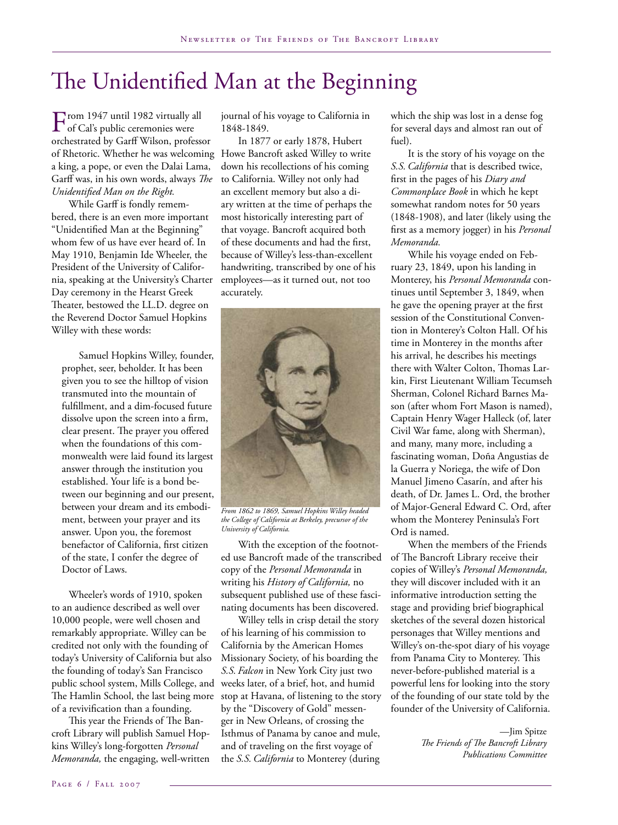# The Unidentified Man at the Beginning

 $\Gamma$ <sup>of</sup> Cal's public ceremonies were orchestrated by Garff Wilson, professor of Rhetoric. Whether he was welcoming a king, a pope, or even the Dalai Lama, Garff was, in his own words, always *The Unidentified Man on the Right.*

While Garff is fondly remembered, there is an even more important "Unidentified Man at the Beginning" whom few of us have ever heard of. In May 1910, Benjamin Ide Wheeler, the President of the University of California, speaking at the University's Charter Day ceremony in the Hearst Greek Theater, bestowed the LL.D. degree on the Reverend Doctor Samuel Hopkins Willey with these words:

Samuel Hopkins Willey, founder, prophet, seer, beholder. It has been given you to see the hilltop of vision transmuted into the mountain of fulfillment, and a dim-focused future dissolve upon the screen into a firm, clear present. The prayer you offered when the foundations of this commonwealth were laid found its largest answer through the institution you established. Your life is a bond between our beginning and our present, between your dream and its embodiment, between your prayer and its answer. Upon you, the foremost benefactor of California, first citizen of the state, I confer the degree of Doctor of Laws.

Wheeler's words of 1910, spoken to an audience described as well over 10,000 people, were well chosen and remarkably appropriate. Willey can be credited not only with the founding of today's University of California but also the founding of today's San Francisco public school system, Mills College, and The Hamlin School, the last being more of a revivification than a founding.

This year the Friends of The Bancroft Library will publish Samuel Hopkins Willey's long-forgotten *Personal Memoranda,* the engaging, well-written journal of his voyage to California in 1848-1849.

In 1877 or early 1878, Hubert Howe Bancroft asked Willey to write down his recollections of his coming to California. Willey not only had an excellent memory but also a diary written at the time of perhaps the most historically interesting part of that voyage. Bancroft acquired both of these documents and had the first, because of Willey's less-than-excellent handwriting, transcribed by one of his employees—as it turned out, not too accurately.



*From 1862 to 1869, Samuel Hopkins Willey headed the College of California at Berkeley, precursor of the University of California.*

With the exception of the footnoted use Bancroft made of the transcribed copy of the *Personal Memoranda* in writing his *History of California,* no subsequent published use of these fascinating documents has been discovered.

Willey tells in crisp detail the story of his learning of his commission to California by the American Homes Missionary Society, of his boarding the *S.S. Falcon* in New York City just two weeks later, of a brief, hot, and humid stop at Havana, of listening to the story by the "Discovery of Gold" messenger in New Orleans, of crossing the Isthmus of Panama by canoe and mule, and of traveling on the first voyage of the *S.S. California* to Monterey (during

which the ship was lost in a dense fog for several days and almost ran out of fuel).

It is the story of his voyage on the *S.S.California* that is described twice, first in the pages of his *Diary and Commonplace Book* in which he kept somewhat random notes for 50 years (1848-1908), and later (likely using the first as a memory jogger) in his *Personal Memoranda.*

While his voyage ended on February 23, 1849, upon his landing in Monterey, his *Personal Memoranda* continues until September 3, 1849, when he gave the opening prayer at the first session of the Constitutional Convention in Monterey's Colton Hall. Of his time in Monterey in the months after his arrival, he describes his meetings there with Walter Colton, Thomas Larkin, First Lieutenant William Tecumseh Sherman, Colonel Richard Barnes Mason (after whom Fort Mason is named), Captain Henry Wager Halleck (of, later Civil War fame, along with Sherman), and many, many more, including a fascinating woman, Doña Angustias de la Guerra y Noriega, the wife of Don Manuel Jimeno Casarín, and after his death, of Dr. James L. Ord, the brother of Major-General Edward C. Ord, after whom the Monterey Peninsula's Fort Ord is named.

When the members of the Friends of The Bancroft Library receive their copies of Willey's *Personal Memoranda,* they will discover included with it an informative introduction setting the stage and providing brief biographical sketches of the several dozen historical personages that Willey mentions and Willey's on-the-spot diary of his voyage from Panama City to Monterey. This never-before-published material is a powerful lens for looking into the story of the founding of our state told by the founder of the University of California.

> —Jim Spitze *The Friends of The Bancroft Library Publications Committee*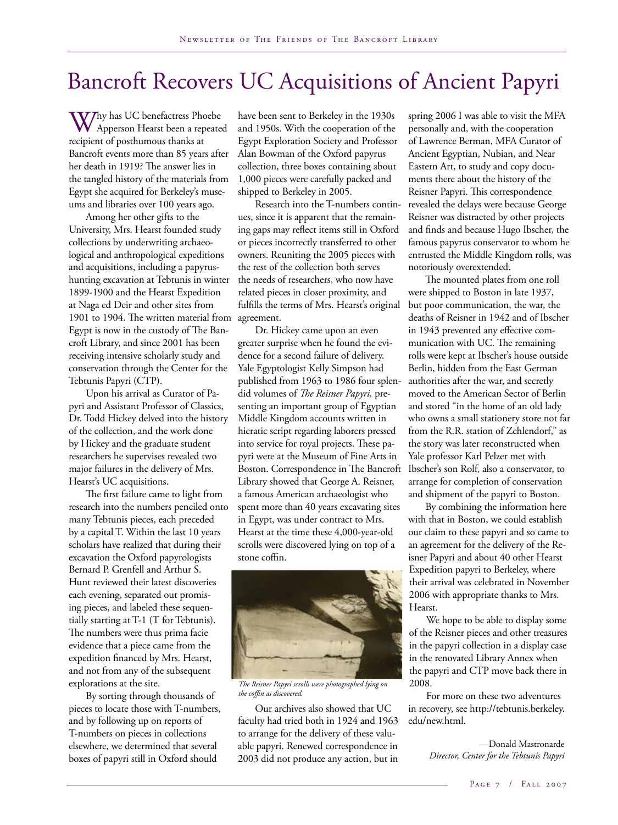# Bancroft Recovers UC Acquisitions of Ancient Papyri

 $\left(\frac{1}{2}\right)^{1/2}$  has UC benefactress Phoebe Apperson Hearst been a repeated recipient of posthumous thanks at Bancroft events more than 85 years after her death in 1919? The answer lies in the tangled history of the materials from Egypt she acquired for Berkeley's museums and libraries over 100 years ago.

Among her other gifts to the University, Mrs. Hearst founded study collections by underwriting archaeological and anthropological expeditions and acquisitions, including a papyrushunting excavation at Tebtunis in winter 1899-1900 and the Hearst Expedition at Naga ed Deir and other sites from 1901 to 1904. The written material from Egypt is now in the custody of The Bancroft Library, and since 2001 has been receiving intensive scholarly study and conservation through the Center for the Tebtunis Papyri (CTP).

Upon his arrival as Curator of Papyri and Assistant Professor of Classics, Dr. Todd Hickey delved into the history of the collection, and the work done by Hickey and the graduate student researchers he supervises revealed two major failures in the delivery of Mrs. Hearst's UC acquisitions.

The first failure came to light from research into the numbers penciled onto many Tebtunis pieces, each preceded by a capital T. Within the last 10 years scholars have realized that during their excavation the Oxford papyrologists Bernard P. Grenfell and Arthur S. Hunt reviewed their latest discoveries each evening, separated out promising pieces, and labeled these sequentially starting at T-1 (T for Tebtunis). The numbers were thus prima facie evidence that a piece came from the expedition financed by Mrs. Hearst, and not from any of the subsequent explorations at the site.

By sorting through thousands of pieces to locate those with T-numbers, and by following up on reports of T-numbers on pieces in collections elsewhere, we determined that several boxes of papyri still in Oxford should

have been sent to Berkeley in the 1930s and 1950s. With the cooperation of the Egypt Exploration Society and Professor Alan Bowman of the Oxford papyrus collection, three boxes containing about 1,000 pieces were carefully packed and shipped to Berkeley in 2005.

Research into the T-numbers continues, since it is apparent that the remaining gaps may reflect items still in Oxford or pieces incorrectly transferred to other owners. Reuniting the 2005 pieces with the rest of the collection both serves the needs of researchers, who now have related pieces in closer proximity, and fulfills the terms of Mrs. Hearst's original agreement.

Dr. Hickey came upon an even greater surprise when he found the evidence for a second failure of delivery. Yale Egyptologist Kelly Simpson had published from 1963 to 1986 four splendid volumes of *The Reisner Papyri,* presenting an important group of Egyptian Middle Kingdom accounts written in hieratic script regarding laborers pressed into service for royal projects. These papyri were at the Museum of Fine Arts in Boston. Correspondence in The Bancroft Library showed that George A. Reisner, a famous American archaeologist who spent more than 40 years excavating sites in Egypt, was under contract to Mrs. Hearst at the time these 4,000-year-old scrolls were discovered lying on top of a stone coffin.



*The Reisner Papyri scrolls were photographed lying on the coffin as discovered.*

Our archives also showed that UC faculty had tried both in 1924 and 1963 to arrange for the delivery of these valuable papyri. Renewed correspondence in 2003 did not produce any action, but in

spring 2006 I was able to visit the MFA personally and, with the cooperation of Lawrence Berman, MFA Curator of Ancient Egyptian, Nubian, and Near Eastern Art, to study and copy documents there about the history of the Reisner Papyri. This correspondence revealed the delays were because George Reisner was distracted by other projects and finds and because Hugo Ibscher, the famous papyrus conservator to whom he entrusted the Middle Kingdom rolls, was notoriously overextended.

The mounted plates from one roll were shipped to Boston in late 1937, but poor communication, the war, the deaths of Reisner in 1942 and of Ibscher in 1943 prevented any effective communication with UC. The remaining rolls were kept at Ibscher's house outside Berlin, hidden from the East German authorities after the war, and secretly moved to the American Sector of Berlin and stored "in the home of an old lady who owns a small stationery store not far from the R.R. station of Zehlendorf," as the story was later reconstructed when Yale professor Karl Pelzer met with Ibscher's son Rolf, also a conservator, to arrange for completion of conservation and shipment of the papyri to Boston.

By combining the information here with that in Boston, we could establish our claim to these papyri and so came to an agreement for the delivery of the Reisner Papyri and about 40 other Hearst Expedition papyri to Berkeley, where their arrival was celebrated in November 2006 with appropriate thanks to Mrs. Hearst.

We hope to be able to display some of the Reisner pieces and other treasures in the papyri collection in a display case in the renovated Library Annex when the papyri and CTP move back there in 2008.

For more on these two adventures in recovery, see http://tebtunis.berkeley. edu/new.html.

> —Donald Mastronarde *Director, Center for the Tebtunis Papyri*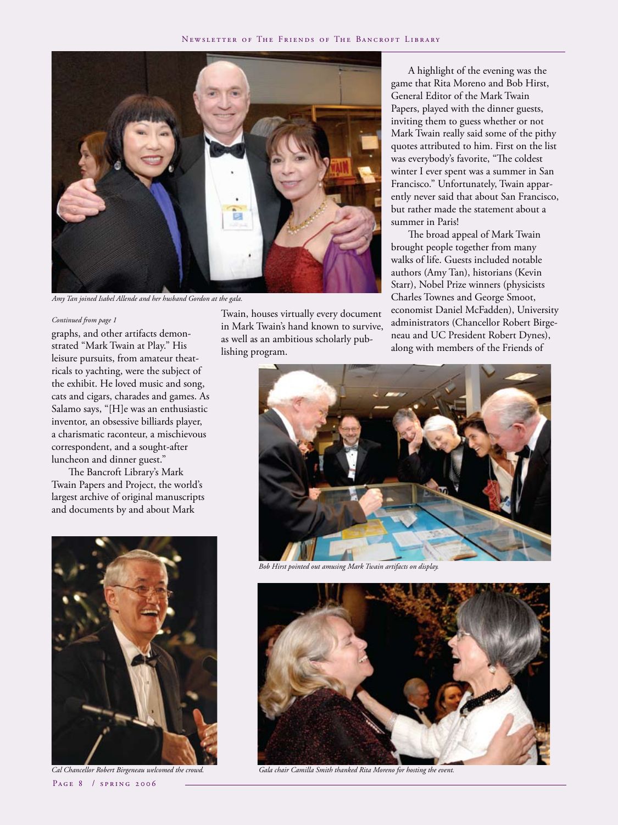

*Amy Tan joined Isabel Allende and her husband Gordon at the gala.*

#### *Continued from page 1*

graphs, and other artifacts demonstrated "Mark Twain at Play." His leisure pursuits, from amateur theatricals to yachting, were the subject of the exhibit. He loved music and song, cats and cigars, charades and games. As Salamo says, "[H]e was an enthusiastic inventor, an obsessive billiards player, a charismatic raconteur, a mischievous correspondent, and a sought-after luncheon and dinner guest."

The Bancroft Library's Mark Twain Papers and Project, the world's largest archive of original manuscripts and documents by and about Mark



Page 8 / spring 2006

Twain, houses virtually every document in Mark Twain's hand known to survive, as well as an ambitious scholarly publishing program.

A highlight of the evening was the game that Rita Moreno and Bob Hirst, General Editor of the Mark Twain Papers, played with the dinner guests, inviting them to guess whether or not Mark Twain really said some of the pithy quotes attributed to him. First on the list was everybody's favorite, "The coldest winter I ever spent was a summer in San Francisco." Unfortunately, Twain apparently never said that about San Francisco, but rather made the statement about a summer in Paris!

The broad appeal of Mark Twain brought people together from many walks of life. Guests included notable authors (Amy Tan), historians (Kevin Starr), Nobel Prize winners (physicists Charles Townes and George Smoot, economist Daniel McFadden), University administrators (Chancellor Robert Birgeneau and UC President Robert Dynes), along with members of the Friends of



*Bob Hirst pointed out amusing Mark Twain artifacts on display.*



*Cal Chancellor Robert Birgeneau welcomed the crowd. Gala chair Camilla Smith thanked Rita Moreno for hosting the event.*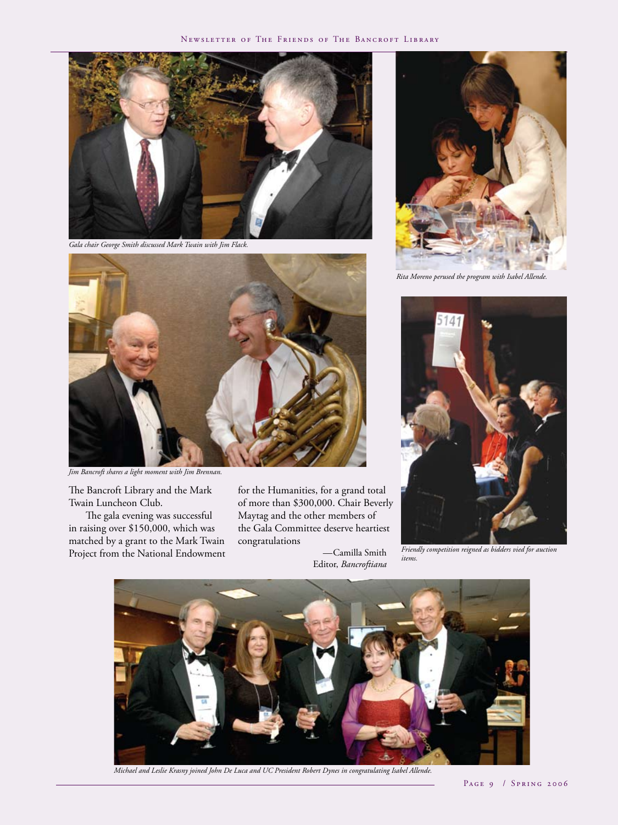

*Gala chair George Smith discussed Mark Twain with Jim Flack.*



*Jim Bancroft shares a light moment with Jim Brennan.* 

The Bancroft Library and the Mark Twain Luncheon Club.

The gala evening was successful in raising over \$150,000, which was matched by a grant to the Mark Twain Project from the National Endowment for the Humanities, for a grand total of more than \$300,000. Chair Beverly Maytag and the other members of the Gala Committee deserve heartiest congratulations

> —Camilla Smith Editor, *Bancroftiana*



*Rita Moreno perused the program with Isabel Allende.*



*Friendly competition reigned as bidders vied for auction items.*



*Michael and Leslie Krasny joined John De Luca and UC President Robert Dynes in congratulating Isabel Allende.*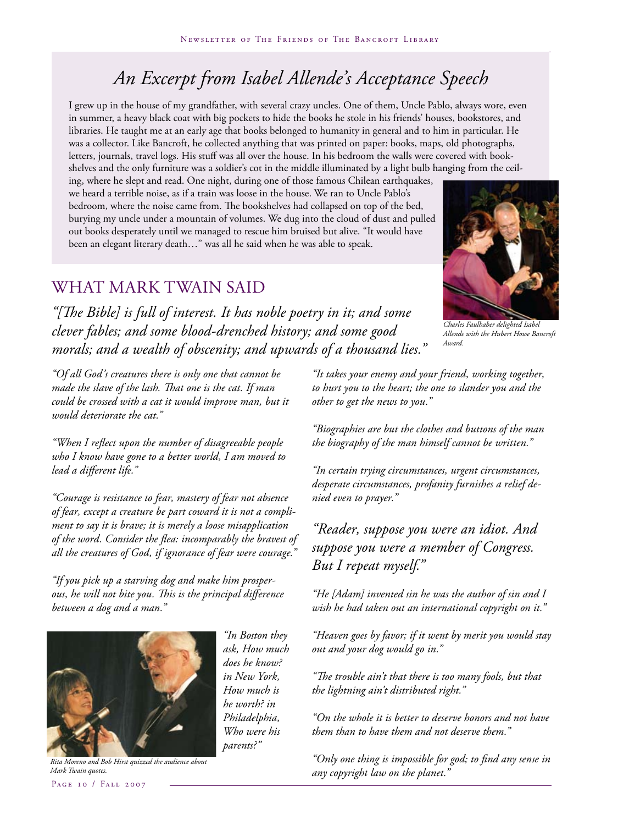## *An Excerpt from Isabel Allende's Acceptance Speech*

I grew up in the house of my grandfather, with several crazy uncles. One of them, Uncle Pablo, always wore, even in summer, a heavy black coat with big pockets to hide the books he stole in his friends' houses, bookstores, and libraries. He taught me at an early age that books belonged to humanity in general and to him in particular. He was a collector. Like Bancroft, he collected anything that was printed on paper: books, maps, old photographs, letters, journals, travel logs. His stuff was all over the house. In his bedroom the walls were covered with bookshelves and the only furniture was a soldier's cot in the middle illuminated by a light bulb hanging from the ceil-

ing, where he slept and read. One night, during one of those famous Chilean earthquakes, we heard a terrible noise, as if a train was loose in the house. We ran to Uncle Pablo's bedroom, where the noise came from. The bookshelves had collapsed on top of the bed, burying my uncle under a mountain of volumes. We dug into the cloud of dust and pulled out books desperately until we managed to rescue him bruised but alive. "It would have been an elegant literary death…" was all he said when he was able to speak.

### What Mark Twain Said

*"[The Bible] is full of interest. It has noble poetry in it; and some clever fables; and some blood-drenched history; and some good morals; and a wealth of obscenity; and upwards of a thousand lies."* 

*"Of all God's creatures there is only one that cannot be made the slave of the lash. That one is the cat. If man could be crossed with a cat it would improve man, but it would deteriorate the cat."* 

*"When I reflect upon the number of disagreeable people who I know have gone to a better world, I am moved to lead a different life."* 

*"Courage is resistance to fear, mastery of fear not absence of fear, except a creature be part coward it is not a compliment to say it is brave; it is merely a loose misapplication of the word. Consider the flea: incomparably the bravest of all the creatures of God, if ignorance of fear were courage."* 

*"If you pick up a starving dog and make him prosperous, he will not bite you. This is the principal difference between a dog and a man."* 



Page 10 / Fall 2007 *Rita Moreno and Bob Hirst quizzed the audience about Mark Twain quotes.*

*"In Boston they ask, How much does he know? in New York, How much is he worth? in Philadelphia, Who were his parents?"* 

*Charles Faulhaber delighted Isabel Allende with the Hubert Howe Bancroft Award.*

*"It takes your enemy and your friend, working together, to hurt you to the heart; the one to slander you and the other to get the news to you."* 

*"Biographies are but the clothes and buttons of the man the biography of the man himself cannot be written."* 

*"In certain trying circumstances, urgent circumstances, desperate circumstances, profanity furnishes a relief denied even to prayer."* 

*"Reader, suppose you were an idiot. And suppose you were a member of Congress. But I repeat myself."* 

*"He [Adam] invented sin he was the author of sin and I wish he had taken out an international copyright on it."* 

*"Heaven goes by favor; if it went by merit you would stay out and your dog would go in."* 

*"The trouble ain't that there is too many fools, but that the lightning ain't distributed right."*

*"On the whole it is better to deserve honors and not have them than to have them and not deserve them."* 

*"Only one thing is impossible for god; to find any sense in any copyright law on the planet."*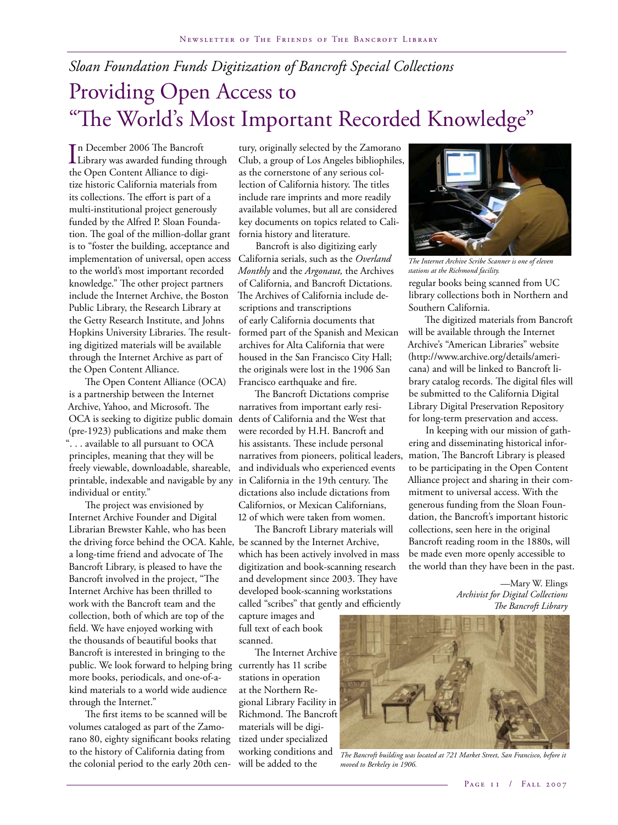# *Sloan Foundation Funds Digitization of Bancroft Special Collections* Providing Open Access to "The World's Most Important Recorded Knowledge"

In December 2006 The Bancroft<br>Library was awarded funding three Library was awarded funding through the Open Content Alliance to digitize historic California materials from its collections. The effort is part of a multi-institutional project generously funded by the Alfred P. Sloan Foundation. The goal of the million-dollar grant is to "foster the building, acceptance and implementation of universal, open access to the world's most important recorded knowledge." The other project partners include the Internet Archive, the Boston Public Library, the Research Library at the Getty Research Institute, and Johns Hopkins University Libraries. The resulting digitized materials will be available through the Internet Archive as part of the Open Content Alliance.

The Open Content Alliance (OCA) is a partnership between the Internet Archive, Yahoo, and Microsoft. The OCA is seeking to digitize public domain (pre-1923) publications and make them ". . . available to all pursuant to OCA principles, meaning that they will be freely viewable, downloadable, shareable, printable, indexable and navigable by any individual or entity."

The project was envisioned by Internet Archive Founder and Digital Librarian Brewster Kahle, who has been the driving force behind the OCA. Kahle, be scanned by the Internet Archive, a long-time friend and advocate of The Bancroft Library, is pleased to have the Bancroft involved in the project, "The Internet Archive has been thrilled to work with the Bancroft team and the collection, both of which are top of the field. We have enjoyed working with the thousands of beautiful books that Bancroft is interested in bringing to the public. We look forward to helping bring more books, periodicals, and one-of-akind materials to a world wide audience through the Internet."

The first items to be scanned will be volumes cataloged as part of the Zamorano 80, eighty significant books relating to the history of California dating from the colonial period to the early 20th cen-

tury, originally selected by the Zamorano Club, a group of Los Angeles bibliophiles, as the cornerstone of any serious collection of California history. The titles include rare imprints and more readily available volumes, but all are considered key documents on topics related to California history and literature.

Bancroft is also digitizing early California serials, such as the *Overland Monthly* and the *Argonaut,* the Archives of California, and Bancroft Dictations. The Archives of California include descriptions and transcriptions of early California documents that formed part of the Spanish and Mexican archives for Alta California that were housed in the San Francisco City Hall; the originals were lost in the 1906 San Francisco earthquake and fire.

The Bancroft Dictations comprise narratives from important early residents of California and the West that were recorded by H.H. Bancroft and his assistants. These include personal narratives from pioneers, political leaders, and individuals who experienced events in California in the 19th century. The dictations also include dictations from Californios, or Mexican Californians, 12 of which were taken from women.

The Bancroft Library materials will which has been actively involved in mass digitization and book-scanning research and development since 2003. They have developed book-scanning workstations called "scribes" that gently and efficiently

capture images and full text of each book scanned.

The Internet Archive currently has 11 scribe stations in operation at the Northern Regional Library Facility in Richmond. The Bancroft materials will be digitized under specialized working conditions and will be added to the



*The Internet Archive Scribe Scanner is one of eleven stations at the Richmond facility.*

regular books being scanned from UC library collections both in Northern and Southern California.

The digitized materials from Bancroft will be available through the Internet Archive's "American Libraries" website (http://www.archive.org/details/americana) and will be linked to Bancroft library catalog records. The digital files will be submitted to the California Digital Library Digital Preservation Repository for long-term preservation and access.

In keeping with our mission of gathering and disseminating historical information, The Bancroft Library is pleased to be participating in the Open Content Alliance project and sharing in their commitment to universal access. With the generous funding from the Sloan Foundation, the Bancroft's important historic collections, seen here in the original Bancroft reading room in the 1880s, will be made even more openly accessible to the world than they have been in the past.

> —Mary W. Elings *Archivist for Digital Collections The Bancroft Library*



*The Bancroft building was located at 721 Market Street, San Francisco, before it moved to Berkeley in 1906.*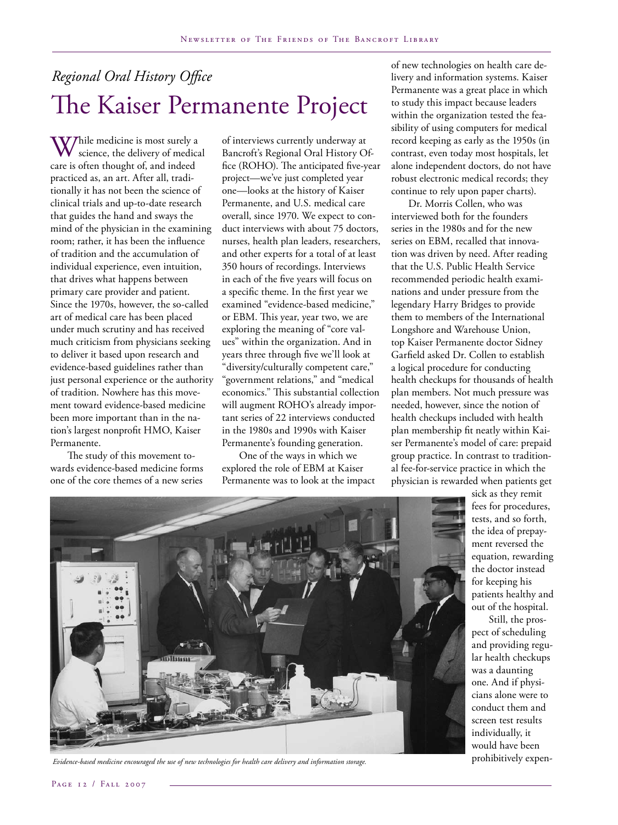# *Regional Oral History Office* The Kaiser Permanente Project

While medicine is most surely a science, the delivery of medical care is often thought of, and indeed practiced as, an art. After all, traditionally it has not been the science of clinical trials and up-to-date research that guides the hand and sways the mind of the physician in the examining room; rather, it has been the influence of tradition and the accumulation of individual experience, even intuition, that drives what happens between primary care provider and patient. Since the 1970s, however, the so-called art of medical care has been placed under much scrutiny and has received much criticism from physicians seeking to deliver it based upon research and evidence-based guidelines rather than just personal experience or the authority of tradition. Nowhere has this movement toward evidence-based medicine been more important than in the nation's largest nonprofit HMO, Kaiser Permanente.

The study of this movement towards evidence-based medicine forms one of the core themes of a new series of interviews currently underway at Bancroft's Regional Oral History Office (ROHO). The anticipated five-year project—we've just completed year one—looks at the history of Kaiser Permanente, and U.S. medical care overall, since 1970. We expect to conduct interviews with about 75 doctors, nurses, health plan leaders, researchers, and other experts for a total of at least 350 hours of recordings. Interviews in each of the five years will focus on a specific theme. In the first year we examined "evidence-based medicine," or EBM. This year, year two, we are exploring the meaning of "core values" within the organization. And in years three through five we'll look at "diversity/culturally competent care," "government relations," and "medical economics." This substantial collection will augment ROHO's already important series of 22 interviews conducted in the 1980s and 1990s with Kaiser Permanente's founding generation.

One of the ways in which we explored the role of EBM at Kaiser Permanente was to look at the impact

of new technologies on health care delivery and information systems. Kaiser Permanente was a great place in which to study this impact because leaders within the organization tested the feasibility of using computers for medical record keeping as early as the 1950s (in contrast, even today most hospitals, let alone independent doctors, do not have robust electronic medical records; they continue to rely upon paper charts).

Dr. Morris Collen, who was interviewed both for the founders series in the 1980s and for the new series on EBM, recalled that innovation was driven by need. After reading that the U.S. Public Health Service recommended periodic health examinations and under pressure from the legendary Harry Bridges to provide them to members of the International Longshore and Warehouse Union, top Kaiser Permanente doctor Sidney Garfield asked Dr. Collen to establish a logical procedure for conducting health checkups for thousands of health plan members. Not much pressure was needed, however, since the notion of health checkups included with health plan membership fit neatly within Kaiser Permanente's model of care: prepaid group practice. In contrast to traditional fee-for-service practice in which the physician is rewarded when patients get



*Evidence-based medicine encouraged the use of new technologies for health care delivery and information storage.*

sick as they remit fees for procedures, tests, and so forth, the idea of prepayment reversed the equation, rewarding the doctor instead for keeping his patients healthy and out of the hospital.

Still, the prospect of scheduling and providing regular health checkups was a daunting one. And if physicians alone were to conduct them and screen test results individually, it would have been prohibitively expen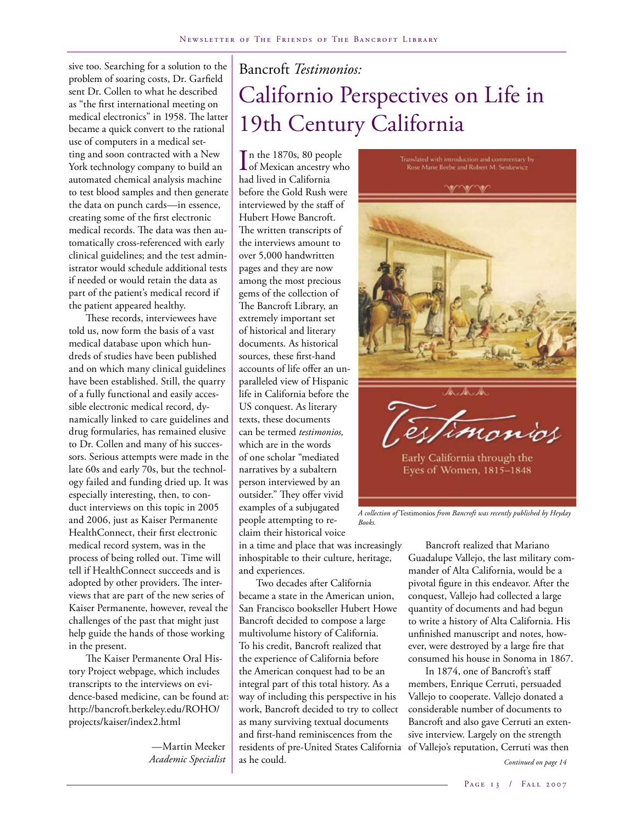sive too. Searching for a solution to the problem of soaring costs, Dr. Garfield sent Dr. Collen to what he described as "the first international meeting on medical electronics" in 1958. The latter became a quick convert to the rational use of computers in a medical setting and soon contracted with a New York technology company to build an automated chemical analysis machine to test blood samples and then generate the data on punch cards—in essence, creating some of the first electronic medical records. The data was then automatically cross-referenced with early clinical guidelines; and the test administrator would schedule additional tests if needed or would retain the data as part of the patient's medical record if the patient appeared healthy.

These records, interviewees have told us, now form the basis of a vast medical database upon which hundreds of studies have been published and on which many clinical guidelines have been established. Still, the quarry of a fully functional and easily accessible electronic medical record, dynamically linked to care guidelines and drug formularies, has remained elusive to Dr. Collen and many of his successors. Serious attempts were made in the late 60s and early 70s, but the technology failed and funding dried up. It was especially interesting, then, to conduct interviews on this topic in 2005 and 2006, just as Kaiser Permanente HealthConnect, their first electronic medical record system, was in the process of being rolled out. Time will tell if HealthConnect succeeds and is adopted by other providers. The interviews that are part of the new series of Kaiser Permanente, however, reveal the challenges of the past that might just help guide the hands of those working in the present.

The Kaiser Permanente Oral History Project webpage, which includes transcripts to the interviews on evidence-based medicine, can be found at: http://bancroft.berkeley.edu/ROHO/ projects/kaiser/index2.html

> —Martin Meeker *Academic Specialist*

# Bancroft *Testimonios:* Californio Perspectives on Life in 19th Century California

In the 1870s, 80 people<br>of Mexican ancestry who n the 1870s, 80 people had lived in California before the Gold Rush were interviewed by the staff of Hubert Howe Bancroft. The written transcripts of the interviews amount to over 5,000 handwritten pages and they are now among the most precious gems of the collection of The Bancroft Library, an extremely important set of historical and literary documents. As historical sources, these first-hand accounts of life offer an unparalleled view of Hispanic life in California before the US conquest. As literary texts, these documents can be termed *testimonios,* which are in the words of one scholar "mediated narratives by a subaltern person interviewed by an outsider." They offer vivid examples of a subjugated people attempting to reclaim their historical voice

in a time and place that was increasingly inhospitable to their culture, heritage, and experiences.

Two decades after California became a state in the American union, San Francisco bookseller Hubert Howe Bancroft decided to compose a large multivolume history of California. To his credit, Bancroft realized that the experience of California before the American conquest had to be an integral part of this total history. As a way of including this perspective in his work, Bancroft decided to try to collect as many surviving textual documents and first-hand reminiscences from the residents of pre-United States California as he could.





Early California through the Eyes of Women, 1815-1848

*A collection of* Testimonios *from Bancroft was recently published by Heyday Books.* 

> Bancroft realized that Mariano Guadalupe Vallejo, the last military commander of Alta California, would be a pivotal figure in this endeavor. After the conquest, Vallejo had collected a large quantity of documents and had begun to write a history of Alta California. His unfinished manuscript and notes, however, were destroyed by a large fire that consumed his house in Sonoma in 1867.

In 1874, one of Bancroft's staff members, Enrique Cerruti, persuaded Vallejo to cooperate. Vallejo donated a considerable number of documents to Bancroft and also gave Cerruti an extensive interview. Largely on the strength of Vallejo's reputation, Cerruti was then *Continued on page 14*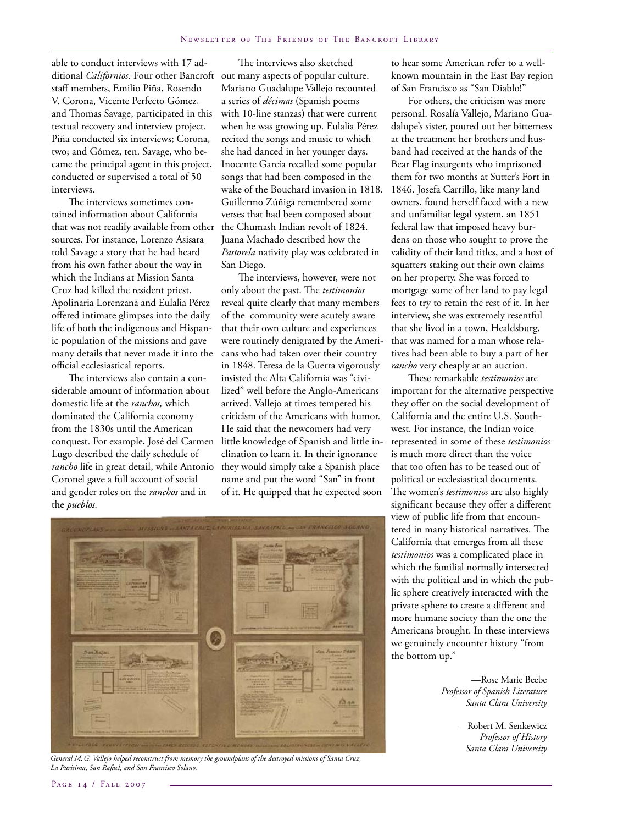able to conduct interviews with 17 additional *Californios.* Four other Bancroft out many aspects of popular culture. staff members, Emilio Piña, Rosendo V. Corona, Vicente Perfecto Gómez, and Thomas Savage, participated in this textual recovery and interview project. Piña conducted six interviews; Corona, two; and Gómez, ten. Savage, who became the principal agent in this project, conducted or supervised a total of 50 interviews.

The interviews sometimes contained information about California that was not readily available from other sources. For instance, Lorenzo Asisara told Savage a story that he had heard from his own father about the way in which the Indians at Mission Santa Cruz had killed the resident priest. Apolinaria Lorenzana and Eulalia Pérez offered intimate glimpses into the daily life of both the indigenous and Hispanic population of the missions and gave many details that never made it into the official ecclesiastical reports.

The interviews also contain a considerable amount of information about domestic life at the *ranchos,* which dominated the California economy from the 1830s until the American conquest. For example, José del Carmen Lugo described the daily schedule of *rancho* life in great detail, while Antonio Coronel gave a full account of social and gender roles on the *ranchos* and in the *pueblos.*

The interviews also sketched Mariano Guadalupe Vallejo recounted a series of *décimas* (Spanish poems with 10-line stanzas) that were current when he was growing up. Eulalia Pérez recited the songs and music to which she had danced in her younger days. Inocente García recalled some popular songs that had been composed in the wake of the Bouchard invasion in 1818. Guillermo Zúñiga remembered some verses that had been composed about the Chumash Indian revolt of 1824. Juana Machado described how the *Pastorela* nativity play was celebrated in San Diego.

The interviews, however, were not only about the past. The *testimonios* reveal quite clearly that many members of the community were acutely aware that their own culture and experiences were routinely denigrated by the Americans who had taken over their country in 1848. Teresa de la Guerra vigorously insisted the Alta California was "civilized" well before the Anglo-Americans arrived. Vallejo at times tempered his criticism of the Americans with humor. He said that the newcomers had very little knowledge of Spanish and little inclination to learn it. In their ignorance they would simply take a Spanish place name and put the word "San" in front of it. He quipped that he expected soon

to hear some American refer to a wellknown mountain in the East Bay region of San Francisco as "San Diablo!"

For others, the criticism was more personal. Rosalía Vallejo, Mariano Guadalupe's sister, poured out her bitterness at the treatment her brothers and husband had received at the hands of the Bear Flag insurgents who imprisoned them for two months at Sutter's Fort in 1846. Josefa Carrillo, like many land owners, found herself faced with a new and unfamiliar legal system, an 1851 federal law that imposed heavy burdens on those who sought to prove the validity of their land titles, and a host of squatters staking out their own claims on her property. She was forced to mortgage some of her land to pay legal fees to try to retain the rest of it. In her interview, she was extremely resentful that she lived in a town, Healdsburg, that was named for a man whose relatives had been able to buy a part of her *rancho* very cheaply at an auction.

These remarkable *testimonios* are important for the alternative perspective they offer on the social development of California and the entire U.S. Southwest. For instance, the Indian voice represented in some of these *testimonios* is much more direct than the voice that too often has to be teased out of political or ecclesiastical documents. The women's *testimonios* are also highly significant because they offer a different view of public life from that encountered in many historical narratives. The California that emerges from all these *testimonios* was a complicated place in which the familial normally intersected with the political and in which the public sphere creatively interacted with the private sphere to create a different and more humane society than the one the Americans brought. In these interviews we genuinely encounter history "from the bottom up."

> —Rose Marie Beebe *Professor of Spanish Literature Santa Clara University*

> > —Robert M. Senkewicz *Professor of History Santa Clara University*



*General M.G. Vallejo helped reconstruct from memory the groundplans of the destroyed missions of Santa Cruz, La Purisima, San Rafael, and San Francisco Solano.*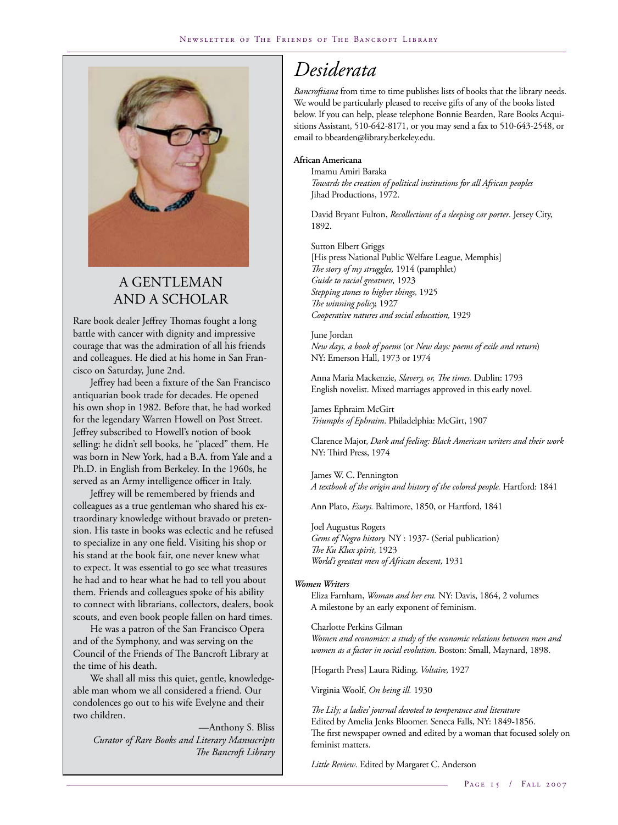

### A Gentleman and a Scholar

Rare book dealer Jeffrey Thomas fought a long battle with cancer with dignity and impressive courage that was the admiration of all his friends and colleagues. He died at his home in San Francisco on Saturday, June 2nd.

Jeffrey had been a fixture of the San Francisco antiquarian book trade for decades. He opened his own shop in 1982. Before that, he had worked for the legendary Warren Howell on Post Street. Jeffrey subscribed to Howell's notion of book selling: he didn't sell books, he "placed" them. He was born in New York, had a B.A. from Yale and a Ph.D. in English from Berkeley. In the 1960s, he served as an Army intelligence officer in Italy.

Jeffrey will be remembered by friends and colleagues as a true gentleman who shared his extraordinary knowledge without bravado or pretension. His taste in books was eclectic and he refused to specialize in any one field. Visiting his shop or his stand at the book fair, one never knew what to expect. It was essential to go see what treasures he had and to hear what he had to tell you about them. Friends and colleagues spoke of his ability to connect with librarians, collectors, dealers, book scouts, and even book people fallen on hard times.

He was a patron of the San Francisco Opera and of the Symphony, and was serving on the Council of the Friends of The Bancroft Library at the time of his death.

We shall all miss this quiet, gentle, knowledgeable man whom we all considered a friend. Our condolences go out to his wife Evelyne and their two children.

—Anthony S. Bliss *Curator of Rare Books and Literary Manuscripts The Bancroft Library*

### *Desiderata*

*Bancroftiana* from time to time publishes lists of books that the library needs. We would be particularly pleased to receive gifts of any of the books listed below. If you can help, please telephone Bonnie Bearden, Rare Books Acquisitions Assistant, 510-642-8171, or you may send a fax to 510-643-2548, or email to bbearden@library.berkeley.edu.

### **African Americana**

Imamu Amiri Baraka *Towards the creation of political institutions for all African peoples* Jihad Productions, 1972.

David Bryant Fulton, *Recollections of a sleeping car porter*. Jersey City, 1892.

Sutton Elbert Griggs [His press National Public Welfare League, Memphis] *The story of my struggles,* 1914 (pamphlet) *Guide to racial greatness,* 1923 *Stepping stones to higher things,* 1925 *The winning policy,* 1927 *Cooperative natures and social education,* 1929

June Jordan *New days, a book of poems* (or *New days: poems of exile and return*) NY: Emerson Hall, 1973 or 1974

Anna Maria Mackenzie, *Slavery, or, The times.* Dublin: 1793 English novelist. Mixed marriages approved in this early novel.

James Ephraim McGirt *Triumphs of Ephraim*. Philadelphia: McGirt, 1907

Clarence Major, *Dark and feeling: Black American writers and their work* NY: Third Press, 1974

James W. C. Pennington *A textbook of the origin and history of the colored people.* Hartford: 1841

Ann Plato, *Essays.* Baltimore, 1850, or Hartford, 1841

Joel Augustus Rogers *Gems of Negro history.* NY : 1937- (Serial publication) *The Ku Klux spirit,* 1923 *World's greatest men of African descent,* 1931

#### *Women Writers*

Eliza Farnham, *Woman and her era.* NY: Davis, 1864, 2 volumes A milestone by an early exponent of feminism.

#### Charlotte Perkins Gilman

*Women and economics: a study of the economic relations between men and women as a factor in social evolution.* Boston: Small, Maynard, 1898.

[Hogarth Press] Laura Riding. *Voltaire,* 1927

Virginia Woolf, *On being ill.* 1930

*The Lily; a ladies' journal devoted to temperance and literature* Edited by Amelia Jenks Bloomer. Seneca Falls, NY: 1849-1856. The first newspaper owned and edited by a woman that focused solely on feminist matters.

*Little Review*. Edited by Margaret C. Anderson